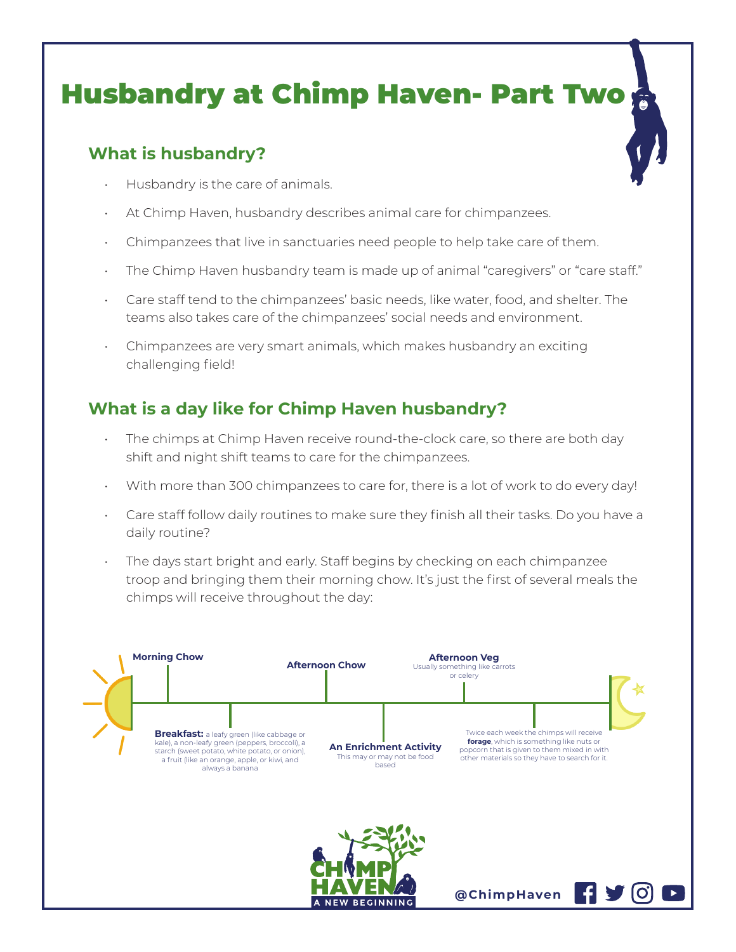## Husbandry at Chimp Haven- Part Two

## **What is husbandry?**

- Husbandry is the care of animals.
- At Chimp Haven, husbandry describes animal care for chimpanzees.
- Chimpanzees that live in sanctuaries need people to help take care of them.
- The Chimp Haven husbandry team is made up of animal "caregivers" or "care staff."
- Care staff tend to the chimpanzees' basic needs, like water, food, and shelter. The teams also takes care of the chimpanzees' social needs and environment.
- Chimpanzees are very smart animals, which makes husbandry an exciting challenging field!

## **What is a day like for Chimp Haven husbandry?**

- The chimps at Chimp Haven receive round-the-clock care, so there are both day shift and night shift teams to care for the chimpanzees.
- With more than 300 chimpanzees to care for, there is a lot of work to do every day!
- Care staff follow daily routines to make sure they finish all their tasks. Do you have a daily routine?
- The days start bright and early. Staff begins by checking on each chimpanzee troop and bringing them their morning chow. It's just the first of several meals the chimps will receive throughout the day:

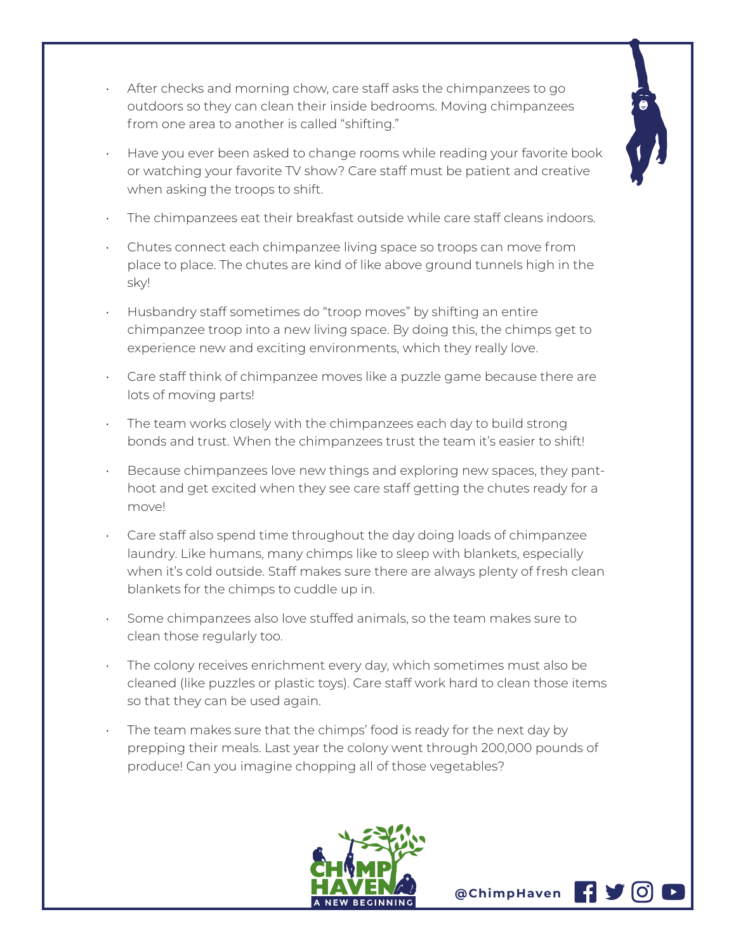

- After checks and morning chow, care staff asks the chimpanzees to go outdoors so they can clean their inside bedrooms. Moving chimpanzees from one area to another is called "shifting."
- Have you ever been asked to change rooms while reading your favorite book or watching your favorite TV show? Care staff must be patient and creative when asking the troops to shift.
- The chimpanzees eat their breakfast outside while care staff cleans indoors.
- Chutes connect each chimpanzee living space so troops can move from place to place. The chutes are kind of like above ground tunnels high in the sky!
- Husbandry staff sometimes do "troop moves" by shifting an entire chimpanzee troop into a new living space. By doing this, the chimps get to experience new and exciting environments, which they really love.
- Care staff think of chimpanzee moves like a puzzle game because there are lots of moving parts!
- The team works closely with the chimpanzees each day to build strong bonds and trust. When the chimpanzees trust the team it's easier to shift!
- Because chimpanzees love new things and exploring new spaces, they panthoot and get excited when they see care staff getting the chutes ready for a move!
- Care staff also spend time throughout the day doing loads of chimpanzee laundry. Like humans, many chimps like to sleep with blankets, especially when it's cold outside. Staff makes sure there are always plenty of fresh clean blankets for the chimps to cuddle up in.
- Some chimpanzees also love stuffed animals, so the team makes sure to clean those regularly too.
- The colony receives enrichment every day, which sometimes must also be cleaned (like puzzles or plastic toys). Care staff work hard to clean those items so that they can be used again.
- The team makes sure that the chimps' food is ready for the next day by prepping their meals. Last year the colony went through 200,000 pounds of produce! Can you imagine chopping all of those vegetables?



**@ChimpHaven**

H V